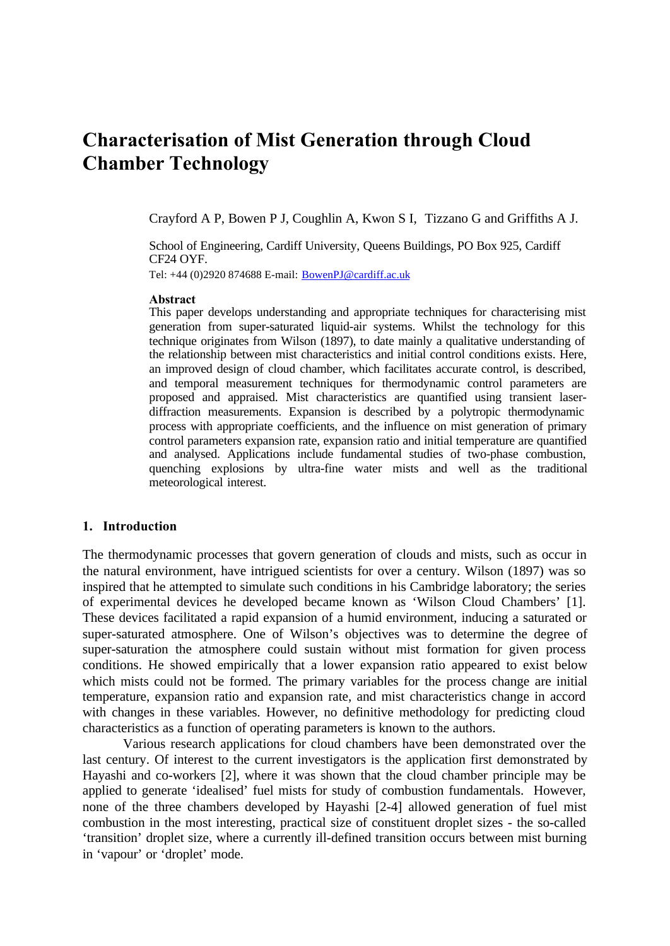# **Characterisation of Mist Generation through Cloud Chamber Technology**

Crayford A P, Bowen P J, Coughlin A, Kwon S I, Tizzano G and Griffiths A J.

School of Engineering, Cardiff University, Queens Buildings, PO Box 925, Cardiff CF24 OYF.

Tel: +44 (0)2920 874688 E-mail: BowenPJ@cardiff.ac.uk

#### **Abstract**

This paper develops understanding and appropriate techniques for characterising mist generation from super-saturated liquid-air systems. Whilst the technology for this technique originates from Wilson (1897), to date mainly a qualitative understanding of the relationship between mist characteristics and initial control conditions exists. Here, an improved design of cloud chamber, which facilitates accurate control, is described, and temporal measurement techniques for thermodynamic control parameters are proposed and appraised. Mist characteristics are quantified using transient laserdiffraction measurements. Expansion is described by a polytropic thermodynamic process with appropriate coefficients, and the influence on mist generation of primary control parameters expansion rate, expansion ratio and initial temperature are quantified and analysed. Applications include fundamental studies of two-phase combustion, quenching explosions by ultra-fine water mists and well as the traditional meteorological interest.

#### **1. Introduction**

The thermodynamic processes that govern generation of clouds and mists, such as occur in the natural environment, have intrigued scientists for over a century. Wilson (1897) was so inspired that he attempted to simulate such conditions in his Cambridge laboratory; the series of experimental devices he developed became known as 'Wilson Cloud Chambers' [1]. These devices facilitated a rapid expansion of a humid environment, inducing a saturated or super-saturated atmosphere. One of Wilson's objectives was to determine the degree of super-saturation the atmosphere could sustain without mist formation for given process conditions. He showed empirically that a lower expansion ratio appeared to exist below which mists could not be formed. The primary variables for the process change are initial temperature, expansion ratio and expansion rate, and mist characteristics change in accord with changes in these variables. However, no definitive methodology for predicting cloud characteristics as a function of operating parameters is known to the authors.

Various research applications for cloud chambers have been demonstrated over the last century. Of interest to the current investigators is the application first demonstrated by Hayashi and co-workers [2], where it was shown that the cloud chamber principle may be applied to generate 'idealised' fuel mists for study of combustion fundamentals. However, none of the three chambers developed by Hayashi [2-4] allowed generation of fuel mist combustion in the most interesting, practical size of constituent droplet sizes - the so-called 'transition' droplet size, where a currently ill-defined transition occurs between mist burning in 'vapour' or 'droplet' mode.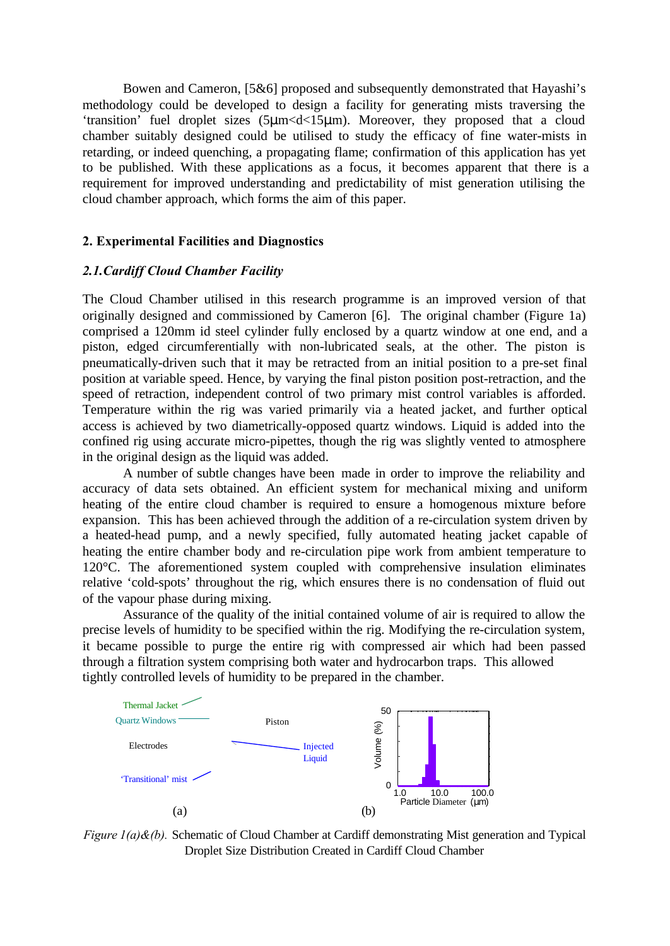Bowen and Cameron, [5&6] proposed and subsequently demonstrated that Hayashi's methodology could be developed to design a facility for generating mists traversing the 'transition' fuel droplet sizes (5μm<d<15μm). Moreover, they proposed that a cloud chamber suitably designed could be utilised to study the efficacy of fine water-mists in retarding, or indeed quenching, a propagating flame; confirmation of this application has yet to be published. With these applications as a focus, it becomes apparent that there is a requirement for improved understanding and predictability of mist generation utilising the cloud chamber approach, which forms the aim of this paper.

### **2. Experimental Facilities and Diagnostics**

### *2.1.Cardiff Cloud Chamber Facility*

The Cloud Chamber utilised in this research programme is an improved version of that originally designed and commissioned by Cameron [6]. The original chamber (Figure 1a) comprised a 120mm id steel cylinder fully enclosed by a quartz window at one end, and a piston, edged circumferentially with non-lubricated seals, at the other. The piston is pneumatically-driven such that it may be retracted from an initial position to a pre-set final position at variable speed. Hence, by varying the final piston position post-retraction, and the speed of retraction, independent control of two primary mist control variables is afforded. Temperature within the rig was varied primarily via a heated jacket, and further optical access is achieved by two diametrically-opposed quartz windows. Liquid is added into the confined rig using accurate micro-pipettes, though the rig was slightly vented to atmosphere in the original design as the liquid was added.

A number of subtle changes have been made in order to improve the reliability and accuracy of data sets obtained. An efficient system for mechanical mixing and uniform heating of the entire cloud chamber is required to ensure a homogenous mixture before expansion. This has been achieved through the addition of a re-circulation system driven by a heated-head pump, and a newly specified, fully automated heating jacket capable of heating the entire chamber body and re-circulation pipe work from ambient temperature to 120°C. The aforementioned system coupled with comprehensive insulation eliminates relative 'cold-spots' throughout the rig, which ensures there is no condensation of fluid out of the vapour phase during mixing.

Assurance of the quality of the initial contained volume of air is required to allow the precise levels of humidity to be specified within the rig. Modifying the re-circulation system, it became possible to purge the entire rig with compressed air which had been passed through a filtration system comprising both water and hydrocarbon traps. This allowed tightly controlled levels of humidity to be prepared in the chamber.



*Figure 1(a)&(b).* Schematic of Cloud Chamber at Cardiff demonstrating Mist generation and Typical Droplet Size Distribution Created in Cardiff Cloud Chamber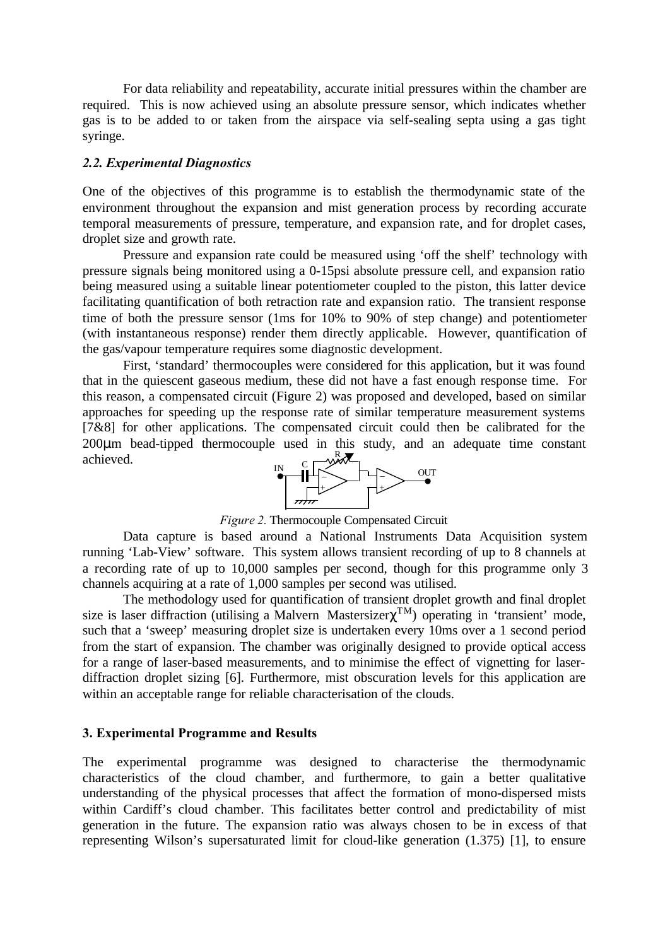For data reliability and repeatability, accurate initial pressures within the chamber are required. This is now achieved using an absolute pressure sensor, which indicates whether gas is to be added to or taken from the airspace via self-sealing septa using a gas tight syringe.

#### *2.2. Experimental Diagnostics*

One of the objectives of this programme is to establish the thermodynamic state of the environment throughout the expansion and mist generation process by recording accurate temporal measurements of pressure, temperature, and expansion rate, and for droplet cases, droplet size and growth rate.

Pressure and expansion rate could be measured using 'off the shelf' technology with pressure signals being monitored using a 0-15psi absolute pressure cell, and expansion ratio being measured using a suitable linear potentiometer coupled to the piston, this latter device facilitating quantification of both retraction rate and expansion ratio. The transient response time of both the pressure sensor (1ms for 10% to 90% of step change) and potentiometer (with instantaneous response) render them directly applicable. However, quantification of the gas/vapour temperature requires some diagnostic development.

First, 'standard' thermocouples were considered for this application, but it was found that in the quiescent gaseous medium, these did not have a fast enough response time. For this reason, a compensated circuit (Figure 2) was proposed and developed, based on similar approaches for speeding up the response rate of similar temperature measurement systems [7&8] for other applications. The compensated circuit could then be calibrated for the 200μm bead-tipped thermocouple used in this study, and an adequate time constant achieved. R



*Figure 2.* Thermocouple Compensated Circuit

Data capture is based around a National Instruments Data Acquisition system running 'Lab-View' software. This system allows transient recording of up to 8 channels at a recording rate of up to 10,000 samples per second, though for this programme only 3 channels acquiring at a rate of 1,000 samples per second was utilised.

The methodology used for quantification of transient droplet growth and final droplet size is laser diffraction (utilising a Malvern Mastersizer $\chi^{TM}$ ) operating in 'transient' mode, such that a 'sweep' measuring droplet size is undertaken every 10ms over a 1 second period from the start of expansion. The chamber was originally designed to provide optical access for a range of laser-based measurements, and to minimise the effect of vignetting for laserdiffraction droplet sizing [6]. Furthermore, mist obscuration levels for this application are within an acceptable range for reliable characterisation of the clouds.

#### **3. Experimental Programme and Results**

The experimental programme was designed to characterise the thermodynamic characteristics of the cloud chamber, and furthermore, to gain a better qualitative understanding of the physical processes that affect the formation of mono-dispersed mists within Cardiff's cloud chamber. This facilitates better control and predictability of mist generation in the future. The expansion ratio was always chosen to be in excess of that representing Wilson's supersaturated limit for cloud-like generation (1.375) [1], to ensure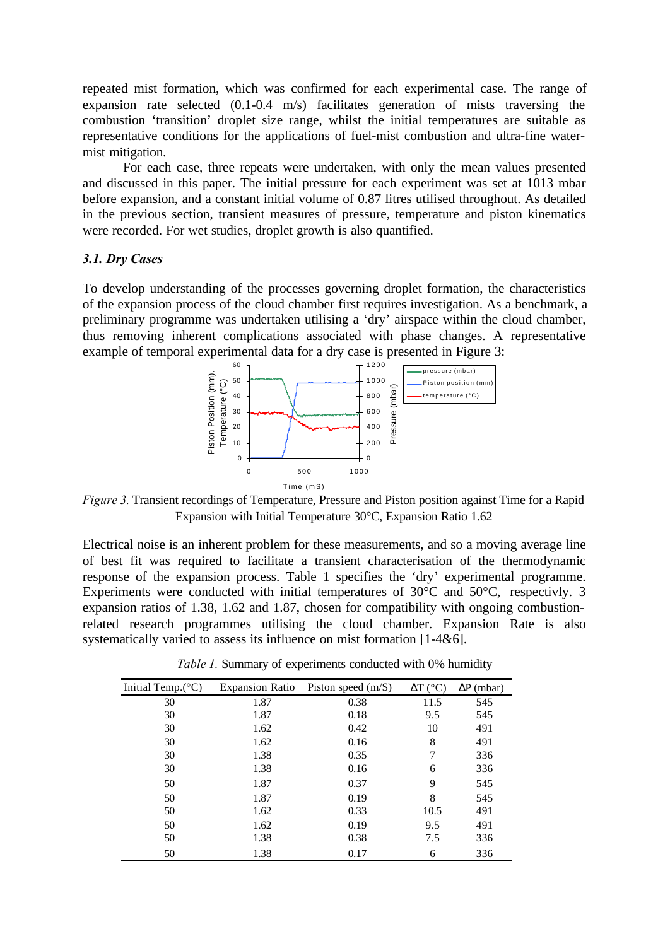repeated mist formation, which was confirmed for each experimental case. The range of expansion rate selected (0.1-0.4 m/s) facilitates generation of mists traversing the combustion 'transition' droplet size range, whilst the initial temperatures are suitable as representative conditions for the applications of fuel-mist combustion and ultra-fine watermist mitigation.

For each case, three repeats were undertaken, with only the mean values presented and discussed in this paper. The initial pressure for each experiment was set at 1013 mbar before expansion, and a constant initial volume of 0.87 litres utilised throughout. As detailed in the previous section, transient measures of pressure, temperature and piston kinematics were recorded. For wet studies, droplet growth is also quantified.

#### *3.1. Dry Cases*

To develop understanding of the processes governing droplet formation, the characteristics of the expansion process of the cloud chamber first requires investigation. As a benchmark, a preliminary programme was undertaken utilising a 'dry' airspace within the cloud chamber, thus removing inherent complications associated with phase changes. A representative example of temporal experimental data for a dry case is presented in Figure 3:



*Figure 3.* Transient recordings of Temperature, Pressure and Piston position against Time for a Rapid Expansion with Initial Temperature 30°C, Expansion Ratio 1.62

Electrical noise is an inherent problem for these measurements, and so a moving average line of best fit was required to facilitate a transient characterisation of the thermodynamic response of the expansion process. Table 1 specifies the 'dry' experimental programme. Experiments were conducted with initial temperatures of 30°C and 50°C, respectivly. 3 expansion ratios of 1.38, 1.62 and 1.87, chosen for compatibility with ongoing combustionrelated research programmes utilising the cloud chamber. Expansion Rate is also systematically varied to assess its influence on mist formation [1-4&6].

| Initial Temp. $(^{\circ}C)$ | <b>Expansion Ratio</b> | Piston speed $(m/S)$ | $\Delta T$ (°C) | $\Delta P$ (mbar) |
|-----------------------------|------------------------|----------------------|-----------------|-------------------|
| 30                          | 1.87                   | 0.38                 | 11.5            | 545               |
| 30                          | 1.87                   | 0.18                 | 9.5             | 545               |
| 30                          | 1.62                   | 0.42                 | 10              | 491               |
| 30                          | 1.62                   | 0.16                 | 8               | 491               |
| 30                          | 1.38                   | 0.35                 |                 | 336               |
| 30                          | 1.38                   | 0.16                 | 6               | 336               |
| 50                          | 1.87                   | 0.37                 | 9               | 545               |
| 50                          | 1.87                   | 0.19                 | 8               | 545               |
| 50                          | 1.62                   | 0.33                 | 10.5            | 491               |
| 50                          | 1.62                   | 0.19                 | 9.5             | 491               |
| 50                          | 1.38                   | 0.38                 | 7.5             | 336               |
| 50                          | 1.38                   | 0.17                 | 6               | 336               |

*Table 1.* Summary of experiments conducted with 0% humidity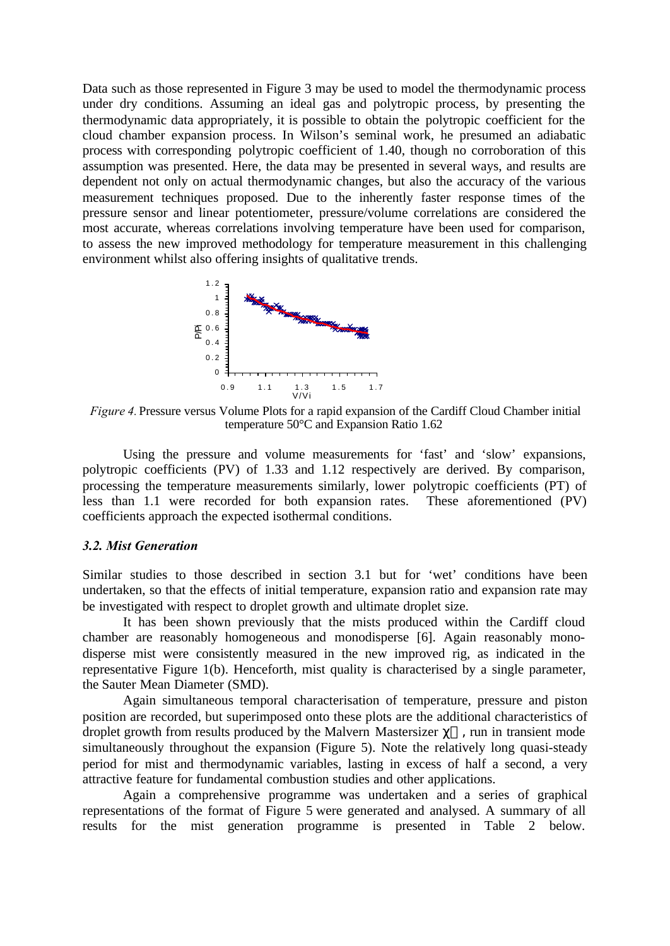Data such as those represented in Figure 3 may be used to model the thermodynamic process under dry conditions. Assuming an ideal gas and polytropic process, by presenting the thermodynamic data appropriately, it is possible to obtain the polytropic coefficient for the cloud chamber expansion process. In Wilson's seminal work, he presumed an adiabatic process with corresponding polytropic coefficient of 1.40, though no corroboration of this assumption was presented. Here, the data may be presented in several ways, and results are dependent not only on actual thermodynamic changes, but also the accuracy of the various measurement techniques proposed. Due to the inherently faster response times of the pressure sensor and linear potentiometer, pressure/volume correlations are considered the most accurate, whereas correlations involving temperature have been used for comparison, to assess the new improved methodology for temperature measurement in this challenging environment whilst also offering insights of qualitative trends.



*Figure 4.* Pressure versus Volume Plots for a rapid expansion of the Cardiff Cloud Chamber initial temperature 50°C and Expansion Ratio 1.62

Using the pressure and volume measurements for 'fast' and 'slow' expansions, polytropic coefficients (PV) of 1.33 and 1.12 respectively are derived. By comparison, processing the temperature measurements similarly, lower polytropic coefficients (PT) of less than 1.1 were recorded for both expansion rates. These aforementioned (PV) coefficients approach the expected isothermal conditions.

#### *3.2. Mist Generation*

Similar studies to those described in section 3.1 but for 'wet' conditions have been undertaken, so that the effects of initial temperature, expansion ratio and expansion rate may be investigated with respect to droplet growth and ultimate droplet size.

It has been shown previously that the mists produced within the Cardiff cloud chamber are reasonably homogeneous and monodisperse [6]. Again reasonably monodisperse mist were consistently measured in the new improved rig, as indicated in the representative Figure 1(b). Henceforth, mist quality is characterised by a single parameter, the Sauter Mean Diameter (SMD).

Again simultaneous temporal characterisation of temperature, pressure and piston position are recorded, but superimposed onto these plots are the additional characteristics of droplet growth from results produced by the Malvern Mastersizer  $\chi^{TM}$ , run in transient mode simultaneously throughout the expansion (Figure 5). Note the relatively long quasi-steady period for mist and thermodynamic variables, lasting in excess of half a second, a very attractive feature for fundamental combustion studies and other applications.

Again a comprehensive programme was undertaken and a series of graphical representations of the format of Figure 5 were generated and analysed. A summary of all results for the mist generation programme is presented in Table 2 below.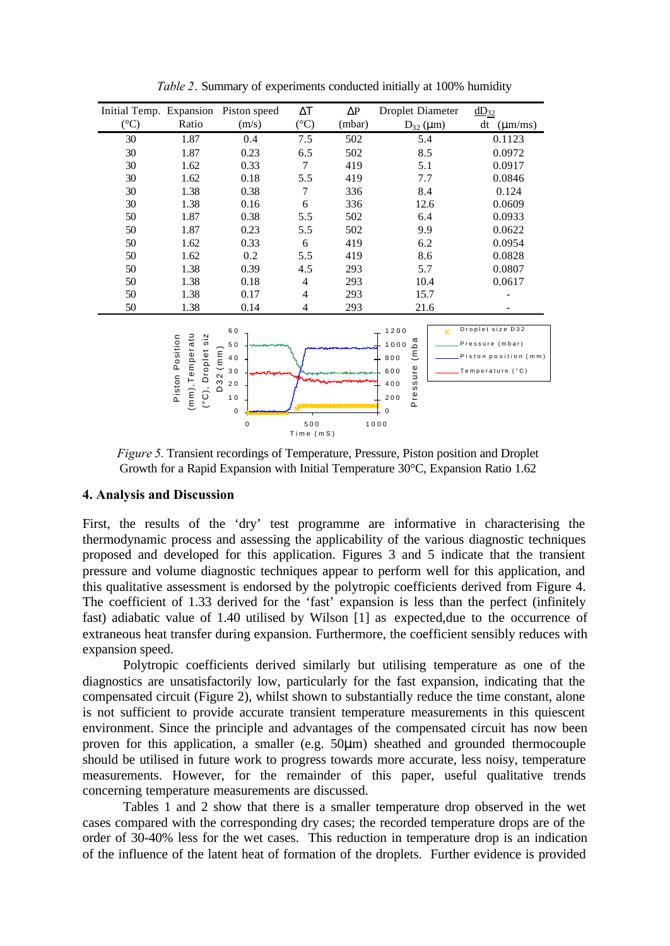| Initial Temp. Expansion Piston speed |                                                                                          |                                                                         | $\Delta T$      | $\Delta \text{P}$ | Droplet Diameter                                                                                                 | $dD_{32}$                                                                            |  |  |
|--------------------------------------|------------------------------------------------------------------------------------------|-------------------------------------------------------------------------|-----------------|-------------------|------------------------------------------------------------------------------------------------------------------|--------------------------------------------------------------------------------------|--|--|
| $({}^{\circ}C)$                      | Ratio                                                                                    | (m/s)                                                                   | $({}^{\circ}C)$ | (mbar)            | $D_{32} (\mu m)$                                                                                                 | dt<br>$(\mu m/ms)$                                                                   |  |  |
| 30                                   | 1.87                                                                                     | 0.4                                                                     | 7.5             | 502               | 5.4                                                                                                              | 0.1123                                                                               |  |  |
| 30                                   | 1.87                                                                                     | 0.23                                                                    | 6.5             | 502               | 8.5                                                                                                              | 0.0972                                                                               |  |  |
| 30                                   | 1.62                                                                                     | 0.33                                                                    | 7               | 419               | 5.1                                                                                                              | 0.0917                                                                               |  |  |
| 30                                   | 1.62                                                                                     | 0.18                                                                    | 5.5             | 419               | 7.7                                                                                                              | 0.0846                                                                               |  |  |
| 30                                   | 1.38                                                                                     | 0.38                                                                    | $\tau$          | 336               | 8.4                                                                                                              | 0.124                                                                                |  |  |
| 30                                   | 1.38                                                                                     | 0.16                                                                    | 6               | 336               | 12.6                                                                                                             | 0.0609                                                                               |  |  |
| 50                                   | 1.87                                                                                     | 0.38                                                                    | 5.5             | 502               | 6.4                                                                                                              | 0.0933                                                                               |  |  |
| 50                                   | 1.87                                                                                     | 0.23                                                                    | 5.5             | 502               | 9.9                                                                                                              | 0.0622                                                                               |  |  |
| 50                                   | 1.62                                                                                     | 0.33                                                                    | 6               | 419               | 6.2                                                                                                              | 0.0954                                                                               |  |  |
| 50                                   | 1.62                                                                                     | 0.2                                                                     | 5.5             | 419               | 8.6                                                                                                              | 0.0828                                                                               |  |  |
| 50                                   | 1.38                                                                                     | 0.39                                                                    | 4.5             | 293               | 5.7                                                                                                              | 0.0807                                                                               |  |  |
| 50                                   | 1.38                                                                                     | 0.18                                                                    | 4               | 293               | 10.4                                                                                                             | 0.0617                                                                               |  |  |
| 50                                   | 1.38                                                                                     | 0.17                                                                    | 4               | 293               | 15.7                                                                                                             |                                                                                      |  |  |
| 50                                   | 1.38                                                                                     | 0.14                                                                    | 4               | 293               | 21.6                                                                                                             |                                                                                      |  |  |
|                                      | (mm), Temperatu<br>$\overline{s}$ iz<br>Position<br>Droplet<br>Piston<br>$\widetilde{C}$ | 60<br>50<br>(mm)<br>40<br>30<br>32<br>20<br>≏<br>10<br>$\mathsf 0$<br>0 | 500             |                   | 1200<br>ъa<br>1000<br>$\widehat{\boldsymbol{\epsilon}}$<br>800<br>ssure<br>600<br>400<br>Pre<br>200<br>0<br>1000 | Droplet size D32<br>x<br>Pressure (mbar)<br>Piston position (mm)<br>Temperature (°C) |  |  |
| Time (mS)                            |                                                                                          |                                                                         |                 |                   |                                                                                                                  |                                                                                      |  |  |

*Table 2*. Summary of experiments conducted initially at 100% humidity

*Figure 5.* Transient recordings of Temperature, Pressure, Piston position and Droplet Growth for a Rapid Expansion with Initial Temperature 30°C, Expansion Ratio 1.62

#### **4. Analysis and Discussion**

First, the results of the 'dry' test programme are informative in characterising the thermodynamic process and assessing the applicability of the various diagnostic techniques proposed and developed for this application. Figures 3 and 5 indicate that the transient pressure and volume diagnostic techniques appear to perform well for this application, and this qualitative assessment is endorsed by the polytropic coefficients derived from Figure 4. The coefficient of 1.33 derived for the 'fast' expansion is less than the perfect (infinitely fast) adiabatic value of 1.40 utilised by Wilson [1] as expected,due to the occurrence of extraneous heat transfer during expansion. Furthermore, the coefficient sensibly reduces with expansion speed.

Polytropic coefficients derived similarly but utilising temperature as one of the diagnostics are unsatisfactorily low, particularly for the fast expansion, indicating that the compensated circuit (Figure 2), whilst shown to substantially reduce the time constant, alone is not sufficient to provide accurate transient temperature measurements in this quiescent environment. Since the principle and advantages of the compensated circuit has now been proven for this application, a smaller (e.g. 50μm) sheathed and grounded thermocouple should be utilised in future work to progress towards more accurate, less noisy, temperature measurements. However, for the remainder of this paper, useful qualitative trends concerning temperature measurements are discussed.

Tables 1 and 2 show that there is a smaller temperature drop observed in the wet cases compared with the corresponding dry cases; the recorded temperature drops are of the order of 30-40% less for the wet cases. This reduction in temperature drop is an indication of the influence of the latent heat of formation of the droplets. Further evidence is provided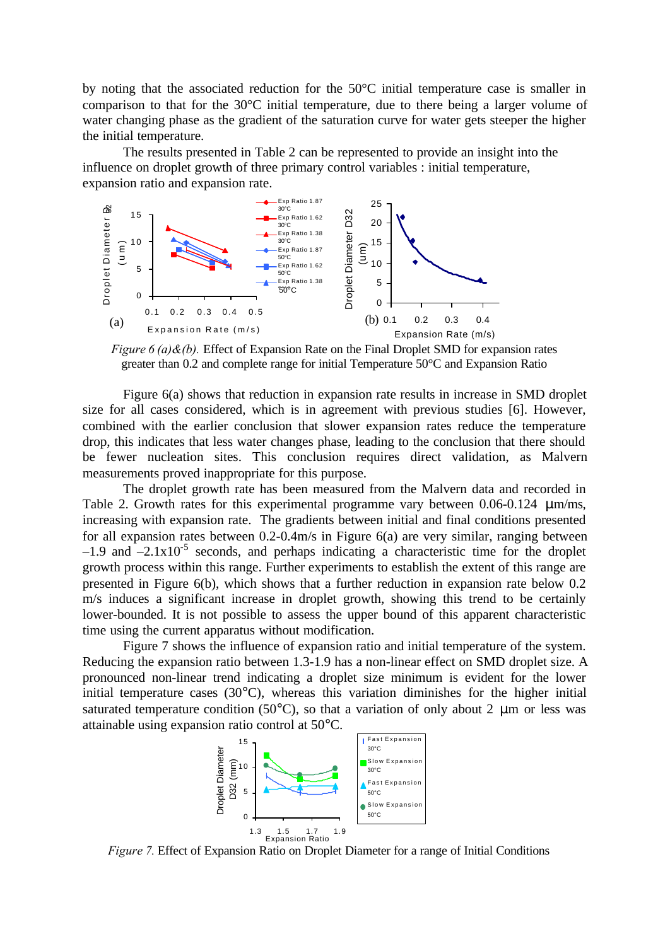by noting that the associated reduction for the 50°C initial temperature case is smaller in comparison to that for the 30°C initial temperature, due to there being a larger volume of water changing phase as the gradient of the saturation curve for water gets steeper the higher the initial temperature.

The results presented in Table 2 can be represented to provide an insight into the influence on droplet growth of three primary control variables : initial temperature, expansion ratio and expansion rate.



*Figure 6 (a)&(b).* Effect of Expansion Rate on the Final Droplet SMD for expansion rates greater than 0.2 and complete range for initial Temperature 50°C and Expansion Ratio

Figure 6(a) shows that reduction in expansion rate results in increase in SMD droplet size for all cases considered, which is in agreement with previous studies [6]. However, combined with the earlier conclusion that slower expansion rates reduce the temperature drop, this indicates that less water changes phase, leading to the conclusion that there should be fewer nucleation sites. This conclusion requires direct validation, as Malvern measurements proved inappropriate for this purpose.

The droplet growth rate has been measured from the Malvern data and recorded in Table 2. Growth rates for this experimental programme vary between 0.06-0.124 μm/ms, increasing with expansion rate. The gradients between initial and final conditions presented for all expansion rates between 0.2-0.4m/s in Figure 6(a) are very similar, ranging between  $-1.9$  and  $-2.1 \times 10^{-5}$  seconds, and perhaps indicating a characteristic time for the droplet growth process within this range. Further experiments to establish the extent of this range are presented in Figure 6(b), which shows that a further reduction in expansion rate below 0.2 m/s induces a significant increase in droplet growth, showing this trend to be certainly lower-bounded. It is not possible to assess the upper bound of this apparent characteristic time using the current apparatus without modification.

Figure 7 shows the influence of expansion ratio and initial temperature of the system. Reducing the expansion ratio between 1.3-1.9 has a non-linear effect on SMD droplet size. A pronounced non-linear trend indicating a droplet size minimum is evident for the lower initial temperature cases (30°C), whereas this variation diminishes for the higher initial saturated temperature condition (50 $^{\circ}$ C), so that a variation of only about 2  $\mu$ m or less was attainable using expansion ratio control at 50°C.



*Figure 7.* Effect of Expansion Ratio on Droplet Diameter for a range of Initial Conditions